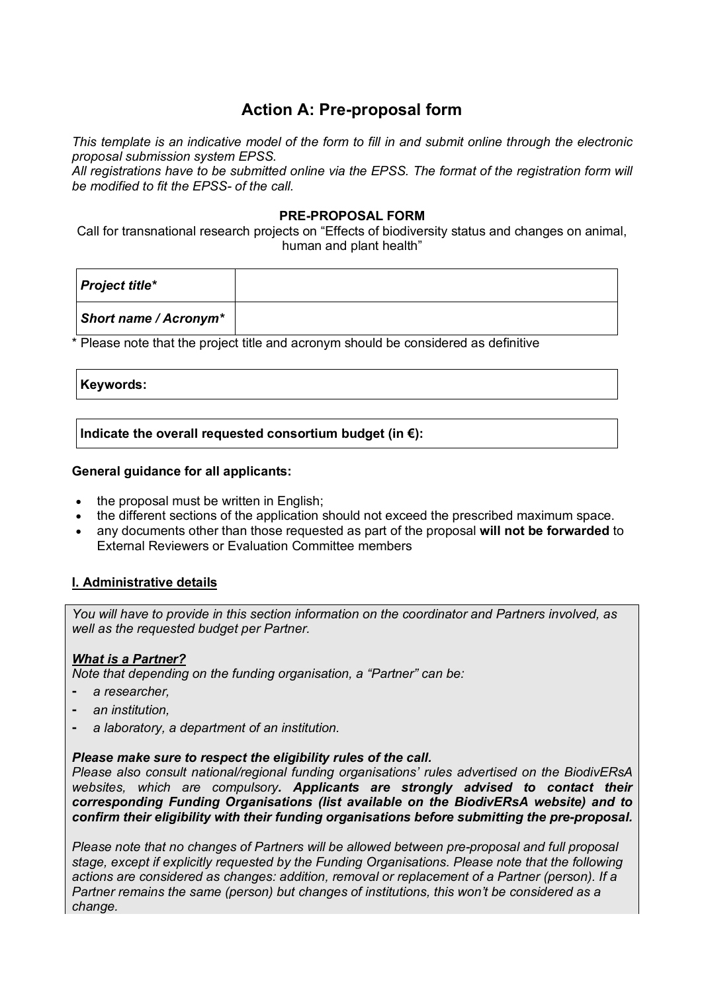# **Action A: Pre-proposal form**

*This template is an indicative model of the form to fill in and submit online through the electronic proposal submission system EPSS.*

*All registrations have to be submitted online via the EPSS. The format of the registration form will be modified to fit the EPSS- of the call.*

### **PRE-PROPOSAL FORM**

Call for transnational research projects on "Effects of biodiversity status and changes on animal, human and plant health"

| <b>Project title*</b> |  |
|-----------------------|--|
| Short name / Acronym* |  |

\* Please note that the project title and acronym should be considered as definitive

#### **Keywords:**

**Indicate the overall requested consortium budget (in €):**

#### **General guidance for all applicants:**

- the proposal must be written in English;
- the different sections of the application should not exceed the prescribed maximum space.
- any documents other than those requested as part of the proposal **will not be forwarded** to External Reviewers or Evaluation Committee members

## **I. Administrative details**

*You will have to provide in this section information on the coordinator and Partners involved, as well as the requested budget per Partner.* 

### *What is a Partner?*

*Note that depending on the funding organisation, a "Partner" can be:*

- ⁃ *a researcher,*
- ⁃ *an institution,*
- ⁃ *a laboratory, a department of an institution.*

#### *Please make sure to respect the eligibility rules of the call.*

*Please also consult national/regional funding organisations' rules advertised on the BiodivERsA websites, which are compulsory. Applicants are strongly advised to contact their corresponding Funding Organisations (list available on the BiodivERsA website) and to confirm their eligibility with their funding organisations before submitting the pre-proposal.* 

*Please note that no changes of Partners will be allowed between pre-proposal and full proposal stage, except if explicitly requested by the Funding Organisations. Please note that the following actions are considered as changes: addition, removal or replacement of a Partner (person). If a Partner remains the same (person) but changes of institutions, this won't be considered as a change.*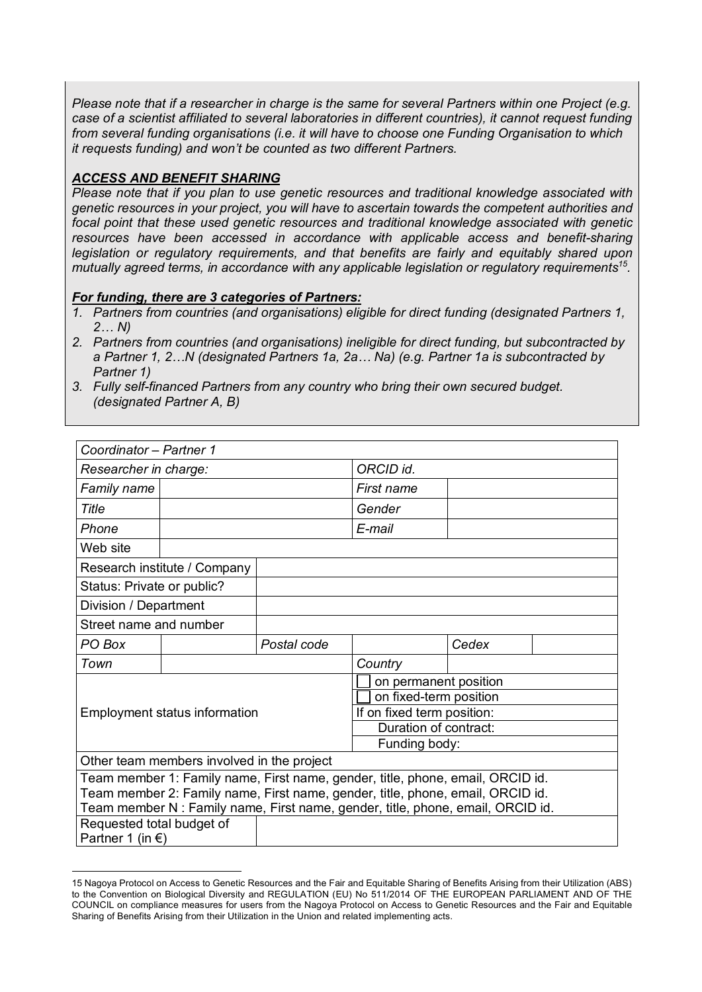*Please note that if a researcher in charge is the same for several Partners within one Project (e.g. case of a scientist affiliated to several laboratories in different countries), it cannot request funding from several funding organisations (i.e. it will have to choose one Funding Organisation to which it requests funding) and won't be counted as two different Partners.*

### *ACCESS AND BENEFIT SHARING*

 $\overline{a}$ 

*Please note that if you plan to use genetic resources and traditional knowledge associated with genetic resources in your project, you will have to ascertain towards the competent authorities and focal point that these used genetic resources and traditional knowledge associated with genetic resources have been accessed in accordance with applicable access and benefit-sharing legislation or regulatory requirements, and that benefits are fairly and equitably shared upon mutually agreed terms, in accordance with any applicable legislation or regulatory requirements15.*

### *For funding, there are 3 categories of Partners:*

- *1. Partners from countries (and organisations) eligible for direct funding (designated Partners 1, 2… N)*
- *2. Partners from countries (and organisations) ineligible for direct funding, but subcontracted by a Partner 1, 2…N (designated Partners 1a, 2a… Na) (e.g. Partner 1a is subcontracted by Partner 1)*
- *3. Fully self-financed Partners from any country who bring their own secured budget. (designated Partner A, B)*

| Coordinator - Partner 1    |                                            |             |                                                                                 |       |  |
|----------------------------|--------------------------------------------|-------------|---------------------------------------------------------------------------------|-------|--|
| Researcher in charge:      |                                            |             | ORCID id.                                                                       |       |  |
| Family name                |                                            |             | First name                                                                      |       |  |
| Title                      |                                            |             | Gender                                                                          |       |  |
| Phone                      |                                            |             | E-mail                                                                          |       |  |
| Web site                   |                                            |             |                                                                                 |       |  |
|                            | Research institute / Company               |             |                                                                                 |       |  |
| Status: Private or public? |                                            |             |                                                                                 |       |  |
| Division / Department      |                                            |             |                                                                                 |       |  |
| Street name and number     |                                            |             |                                                                                 |       |  |
| PO Box                     |                                            | Postal code |                                                                                 | Cedex |  |
| Town                       |                                            |             | Country                                                                         |       |  |
|                            |                                            |             | on permanent position                                                           |       |  |
|                            |                                            |             | on fixed-term position                                                          |       |  |
|                            | <b>Employment status information</b>       |             | If on fixed term position:                                                      |       |  |
|                            |                                            |             | Duration of contract:                                                           |       |  |
|                            |                                            |             | Funding body:                                                                   |       |  |
|                            | Other team members involved in the project |             |                                                                                 |       |  |
|                            |                                            |             | Team member 1: Family name, First name, gender, title, phone, email, ORCID id.  |       |  |
|                            |                                            |             | Team member 2: Family name, First name, gender, title, phone, email, ORCID id.  |       |  |
|                            |                                            |             | Team member N : Family name, First name, gender, title, phone, email, ORCID id. |       |  |
| Requested total budget of  |                                            |             |                                                                                 |       |  |
| Partner 1 (in $\epsilon$ ) |                                            |             |                                                                                 |       |  |

<sup>15</sup> Nagoya Protocol on Access to Genetic Resources and the Fair and Equitable Sharing of Benefits Arising from their Utilization (ABS) to the Convention on Biological Diversity and REGULATION (EU) No 511/2014 OF THE EUROPEAN PARLIAMENT AND OF THE COUNCIL on compliance measures for users from the Nagoya Protocol on Access to Genetic Resources and the Fair and Equitable Sharing of Benefits Arising from their Utilization in the Union and related implementing acts.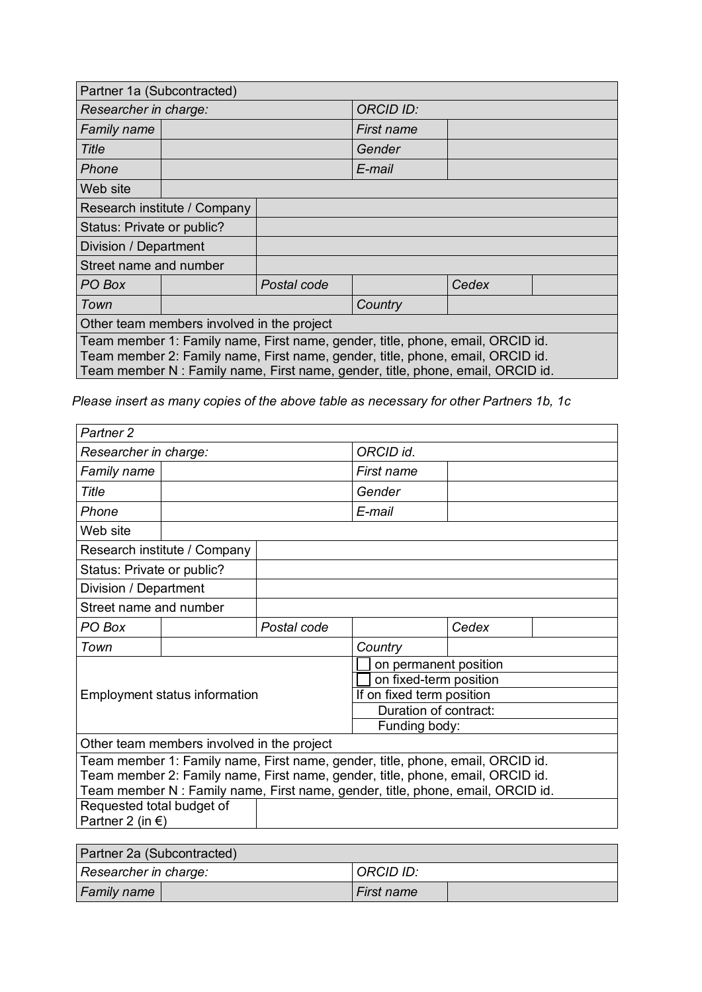| Partner 1a (Subcontracted)                 |                                                                                                                                                                                                                                                     |             |                  |       |  |
|--------------------------------------------|-----------------------------------------------------------------------------------------------------------------------------------------------------------------------------------------------------------------------------------------------------|-------------|------------------|-------|--|
| Researcher in charge:                      |                                                                                                                                                                                                                                                     |             | <b>ORCID ID:</b> |       |  |
| Family name                                |                                                                                                                                                                                                                                                     |             | First name       |       |  |
| <b>Title</b>                               |                                                                                                                                                                                                                                                     |             | Gender           |       |  |
| Phone                                      |                                                                                                                                                                                                                                                     |             | E-mail           |       |  |
| Web site                                   |                                                                                                                                                                                                                                                     |             |                  |       |  |
|                                            | Research institute / Company                                                                                                                                                                                                                        |             |                  |       |  |
| Status: Private or public?                 |                                                                                                                                                                                                                                                     |             |                  |       |  |
| Division / Department                      |                                                                                                                                                                                                                                                     |             |                  |       |  |
| Street name and number                     |                                                                                                                                                                                                                                                     |             |                  |       |  |
| PO Box                                     |                                                                                                                                                                                                                                                     | Postal code |                  | Cedex |  |
| Town                                       |                                                                                                                                                                                                                                                     |             | Country          |       |  |
| Other team members involved in the project |                                                                                                                                                                                                                                                     |             |                  |       |  |
|                                            | Team member 1: Family name, First name, gender, title, phone, email, ORCID id.<br>Team member 2: Family name, First name, gender, title, phone, email, ORCID id.<br>Team member N : Family name, First name, gender, title, phone, email, ORCID id. |             |                  |       |  |

*Please insert as many copies of the above table as necessary for other Partners 1b, 1c*

 $\overline{1}$ 

| Partner <sub>2</sub>       |                                            |             |                                                                                 |       |  |
|----------------------------|--------------------------------------------|-------------|---------------------------------------------------------------------------------|-------|--|
| Researcher in charge:      |                                            |             | ORCID id.                                                                       |       |  |
| <b>Family name</b>         |                                            |             | First name                                                                      |       |  |
| Title                      |                                            |             | Gender                                                                          |       |  |
| Phone                      |                                            |             | E-mail                                                                          |       |  |
| Web site                   |                                            |             |                                                                                 |       |  |
|                            | Research institute / Company               |             |                                                                                 |       |  |
| Status: Private or public? |                                            |             |                                                                                 |       |  |
| Division / Department      |                                            |             |                                                                                 |       |  |
| Street name and number     |                                            |             |                                                                                 |       |  |
| PO Box                     |                                            | Postal code |                                                                                 | Cedex |  |
| Town                       |                                            |             | Country                                                                         |       |  |
|                            |                                            |             | on permanent position                                                           |       |  |
|                            |                                            |             | on fixed-term position                                                          |       |  |
|                            | <b>Employment status information</b>       |             | If on fixed term position                                                       |       |  |
|                            |                                            |             | Duration of contract:                                                           |       |  |
|                            |                                            |             | Funding body:                                                                   |       |  |
|                            | Other team members involved in the project |             |                                                                                 |       |  |
|                            |                                            |             | Team member 1: Family name, First name, gender, title, phone, email, ORCID id.  |       |  |
|                            |                                            |             | Team member 2: Family name, First name, gender, title, phone, email, ORCID id.  |       |  |
|                            |                                            |             | Team member N : Family name, First name, gender, title, phone, email, ORCID id. |       |  |
| Requested total budget of  |                                            |             |                                                                                 |       |  |
| Partner 2 (in $\epsilon$ ) |                                            |             |                                                                                 |       |  |
|                            |                                            |             |                                                                                 |       |  |
|                            |                                            |             |                                                                                 |       |  |

| Partner 2a (Subcontracted) |            |  |  |
|----------------------------|------------|--|--|
| Researcher in charge:      | ORCID ID:  |  |  |
| <b>Family name</b>         | First name |  |  |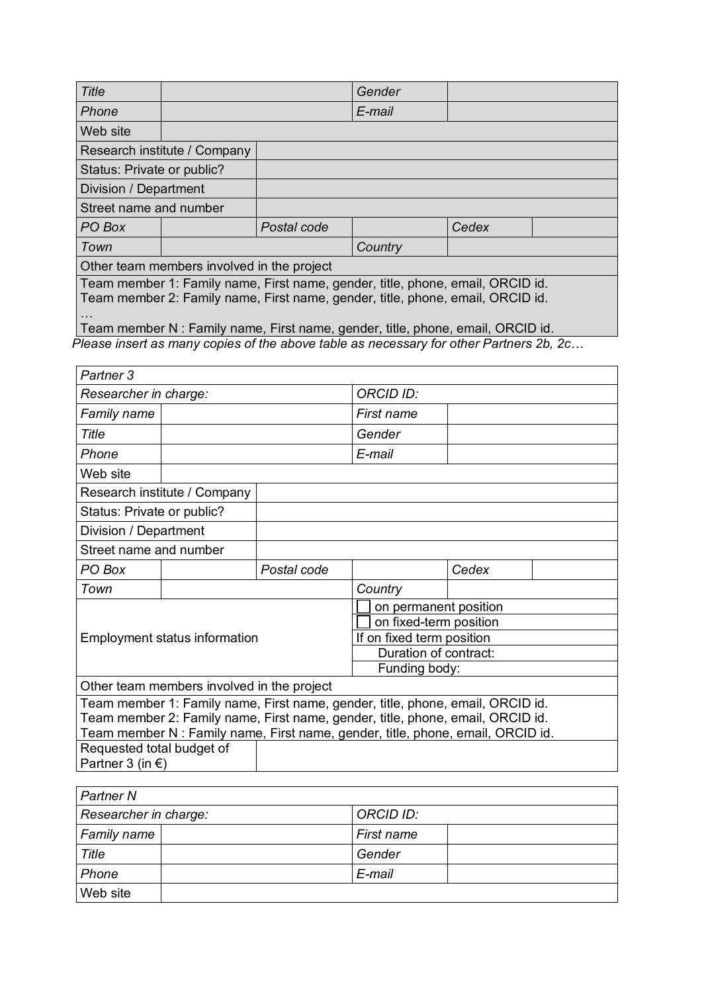| <b>Title</b>                                                                                                                                                     |                                            |             | Gender                                                                          |       |  |
|------------------------------------------------------------------------------------------------------------------------------------------------------------------|--------------------------------------------|-------------|---------------------------------------------------------------------------------|-------|--|
| Phone                                                                                                                                                            |                                            |             | E-mail                                                                          |       |  |
| Web site                                                                                                                                                         |                                            |             |                                                                                 |       |  |
|                                                                                                                                                                  | Research institute / Company               |             |                                                                                 |       |  |
| Status: Private or public?                                                                                                                                       |                                            |             |                                                                                 |       |  |
| Division / Department                                                                                                                                            |                                            |             |                                                                                 |       |  |
| Street name and number                                                                                                                                           |                                            |             |                                                                                 |       |  |
| PO Box                                                                                                                                                           |                                            | Postal code |                                                                                 | Cedex |  |
| Town                                                                                                                                                             |                                            |             | Country                                                                         |       |  |
|                                                                                                                                                                  | Other team members involved in the project |             |                                                                                 |       |  |
| Team member 1: Family name, First name, gender, title, phone, email, ORCID id.<br>Team member 2: Family name, First name, gender, title, phone, email, ORCID id. |                                            |             |                                                                                 |       |  |
|                                                                                                                                                                  |                                            |             | Team member N : Family name, First name, gender, title, phone, email, ORCID id. |       |  |

*Please insert as many copies of the above table as necessary for other Partners 2b, 2c…* 

| Partner 3                  |                                            |             |                                                                                 |       |  |
|----------------------------|--------------------------------------------|-------------|---------------------------------------------------------------------------------|-------|--|
| Researcher in charge:      |                                            |             | <b>ORCID ID:</b>                                                                |       |  |
| <b>Family name</b>         |                                            |             | First name                                                                      |       |  |
| Title                      |                                            |             | Gender                                                                          |       |  |
| Phone                      |                                            |             | E-mail                                                                          |       |  |
| Web site                   |                                            |             |                                                                                 |       |  |
|                            | Research institute / Company               |             |                                                                                 |       |  |
| Status: Private or public? |                                            |             |                                                                                 |       |  |
| Division / Department      |                                            |             |                                                                                 |       |  |
| Street name and number     |                                            |             |                                                                                 |       |  |
| PO Box                     |                                            | Postal code |                                                                                 | Cedex |  |
| Town                       |                                            |             | Country                                                                         |       |  |
|                            |                                            |             | on permanent position                                                           |       |  |
|                            |                                            |             | on fixed-term position                                                          |       |  |
|                            | <b>Employment status information</b>       |             | If on fixed term position                                                       |       |  |
|                            |                                            |             | Duration of contract:                                                           |       |  |
|                            |                                            |             | Funding body:                                                                   |       |  |
|                            | Other team members involved in the project |             |                                                                                 |       |  |
|                            |                                            |             | Team member 1: Family name, First name, gender, title, phone, email, ORCID id.  |       |  |
|                            |                                            |             | Team member 2: Family name, First name, gender, title, phone, email, ORCID id.  |       |  |
|                            |                                            |             | Team member N : Family name, First name, gender, title, phone, email, ORCID id. |       |  |
| Requested total budget of  |                                            |             |                                                                                 |       |  |
| Partner 3 (in $\epsilon$ ) |                                            |             |                                                                                 |       |  |

| <b>Partner N</b>      |            |
|-----------------------|------------|
| Researcher in charge: | ORCID ID:  |
| Family name           | First name |
| Title                 | Gender     |
| Phone                 | E-mail     |
| Web site              |            |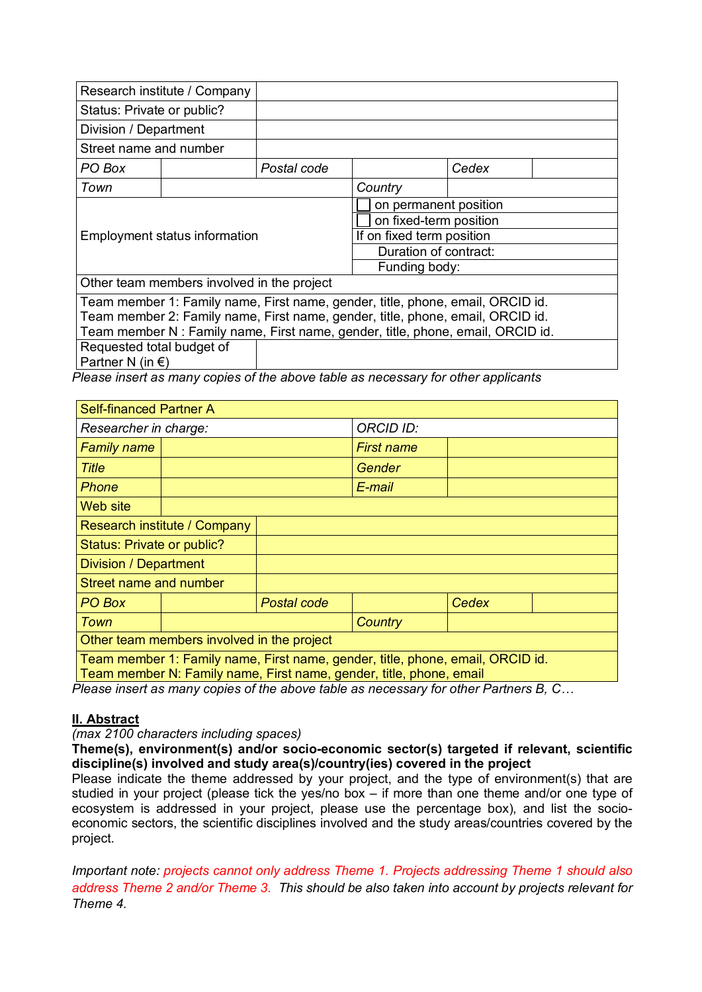|                                                                                 | Research institute / Company               |             |                                                                                |       |  |
|---------------------------------------------------------------------------------|--------------------------------------------|-------------|--------------------------------------------------------------------------------|-------|--|
| Status: Private or public?                                                      |                                            |             |                                                                                |       |  |
| Division / Department                                                           |                                            |             |                                                                                |       |  |
| Street name and number                                                          |                                            |             |                                                                                |       |  |
| PO Box                                                                          |                                            | Postal code |                                                                                | Cedex |  |
| Town                                                                            |                                            |             | Country                                                                        |       |  |
|                                                                                 |                                            |             | on permanent position                                                          |       |  |
|                                                                                 |                                            |             | on fixed-term position                                                         |       |  |
| <b>Employment status information</b>                                            |                                            |             | If on fixed term position                                                      |       |  |
|                                                                                 |                                            |             | Duration of contract:                                                          |       |  |
|                                                                                 |                                            |             | Funding body:                                                                  |       |  |
|                                                                                 | Other team members involved in the project |             |                                                                                |       |  |
|                                                                                 |                                            |             | Team member 1: Family name, First name, gender, title, phone, email, ORCID id. |       |  |
| Team member 2: Family name, First name, gender, title, phone, email, ORCID id.  |                                            |             |                                                                                |       |  |
| Team member N : Family name, First name, gender, title, phone, email, ORCID id. |                                            |             |                                                                                |       |  |
| Requested total budget of                                                       |                                            |             |                                                                                |       |  |
| Partner N (in $\epsilon$ )                                                      |                                            |             |                                                                                |       |  |

*Please insert as many copies of the above table as necessary for other applicants*

| Self-financed Partner A                    |                                                                                                                                                       |             |                  |       |  |
|--------------------------------------------|-------------------------------------------------------------------------------------------------------------------------------------------------------|-------------|------------------|-------|--|
| Researcher in charge:                      |                                                                                                                                                       |             | <b>ORCID ID:</b> |       |  |
| <b>Family name</b>                         |                                                                                                                                                       |             | First name       |       |  |
| <b>Title</b>                               |                                                                                                                                                       |             | Gender           |       |  |
| <b>Phone</b>                               |                                                                                                                                                       |             | E-mail           |       |  |
| Web site                                   |                                                                                                                                                       |             |                  |       |  |
|                                            | Research institute / Company                                                                                                                          |             |                  |       |  |
| Status: Private or public?                 |                                                                                                                                                       |             |                  |       |  |
| <b>Division / Department</b>               |                                                                                                                                                       |             |                  |       |  |
| Street name and number                     |                                                                                                                                                       |             |                  |       |  |
| PO Box                                     |                                                                                                                                                       | Postal code |                  | Cedex |  |
| <b>Town</b>                                |                                                                                                                                                       |             | Country          |       |  |
| Other team members involved in the project |                                                                                                                                                       |             |                  |       |  |
|                                            | Team member 1: Family name, First name, gender, title, phone, email, ORCID id.<br>Team member N: Family name, First name, gender, title, phone, email |             |                  |       |  |

*Please insert as many copies of the above table as necessary for other Partners B, C…* 

### **II. Abstract**

*(max 2100 characters including spaces)*

**Theme(s), environment(s) and/or socio-economic sector(s) targeted if relevant, scientific discipline(s) involved and study area(s)/country(ies) covered in the project**

Please indicate the theme addressed by your project, and the type of environment(s) that are studied in your project (please tick the yes/no box – if more than one theme and/or one type of ecosystem is addressed in your project, please use the percentage box), and list the socioeconomic sectors, the scientific disciplines involved and the study areas/countries covered by the project.

*Important note: projects cannot only address Theme 1. Projects addressing Theme 1 should also address Theme 2 and/or Theme 3. This should be also taken into account by projects relevant for Theme 4.*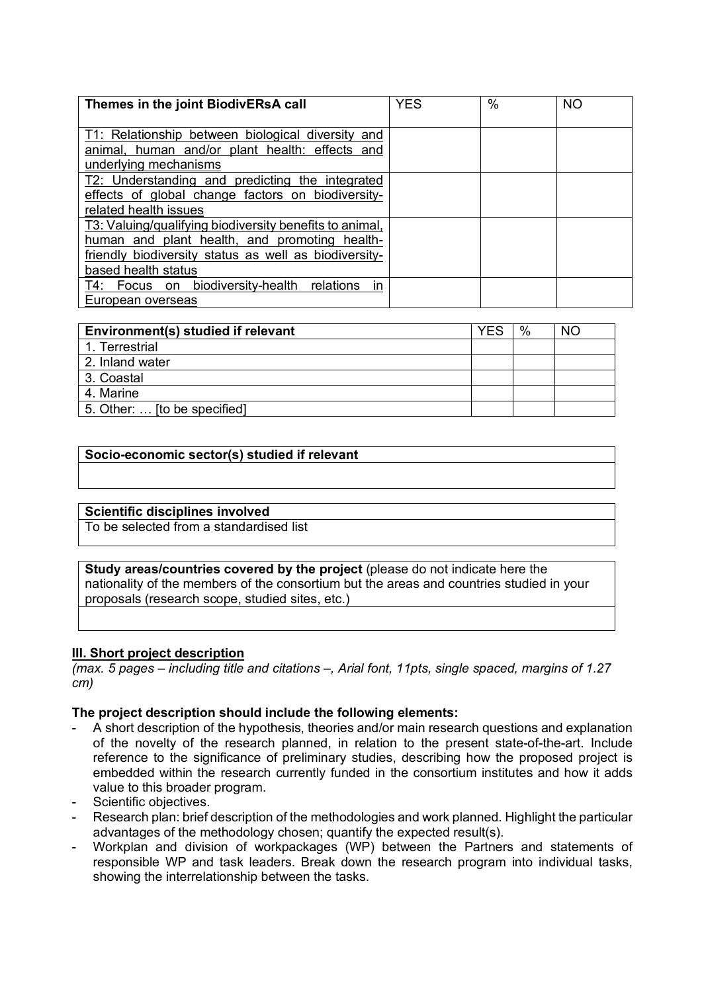| Themes in the joint BiodivERsA call                     | <b>YES</b> | $\frac{0}{0}$ | <b>NO</b> |
|---------------------------------------------------------|------------|---------------|-----------|
|                                                         |            |               |           |
| T1: Relationship between biological diversity and       |            |               |           |
| animal, human and/or plant health: effects and          |            |               |           |
| underlying mechanisms                                   |            |               |           |
| T2: Understanding and predicting the integrated         |            |               |           |
| effects of global change factors on biodiversity-       |            |               |           |
| related health issues                                   |            |               |           |
| T3: Valuing/qualifying biodiversity benefits to animal, |            |               |           |
| human and plant health, and promoting health-           |            |               |           |
| friendly biodiversity status as well as biodiversity-   |            |               |           |
| based health status                                     |            |               |           |
| T4: Focus on biodiversity-health relations<br>in        |            |               |           |
| European overseas                                       |            |               |           |

| Environment(s) studied if relevant | YES | % | NO. |
|------------------------------------|-----|---|-----|
| 1. Terrestrial                     |     |   |     |
| 2. Inland water                    |     |   |     |
| 3. Coastal                         |     |   |     |
| 4. Marine                          |     |   |     |
| 5. Other:  [to be specified]       |     |   |     |

### **Socio-economic sector(s) studied if relevant**

### **Scientific disciplines involved**

To be selected from a standardised list

**Study areas/countries covered by the project** (please do not indicate here the nationality of the members of the consortium but the areas and countries studied in your proposals (research scope, studied sites, etc.)

#### **III. Short project description**

*(max. 5 pages – including title and citations –, Arial font, 11pts, single spaced, margins of 1.27 cm)*

#### **The project description should include the following elements:**

- A short description of the hypothesis, theories and/or main research questions and explanation of the novelty of the research planned, in relation to the present state-of-the-art. Include reference to the significance of preliminary studies, describing how the proposed project is embedded within the research currently funded in the consortium institutes and how it adds value to this broader program.
- Scientific objectives.
- Research plan: brief description of the methodologies and work planned. Highlight the particular advantages of the methodology chosen; quantify the expected result(s).
- Workplan and division of workpackages (WP) between the Partners and statements of responsible WP and task leaders. Break down the research program into individual tasks, showing the interrelationship between the tasks.